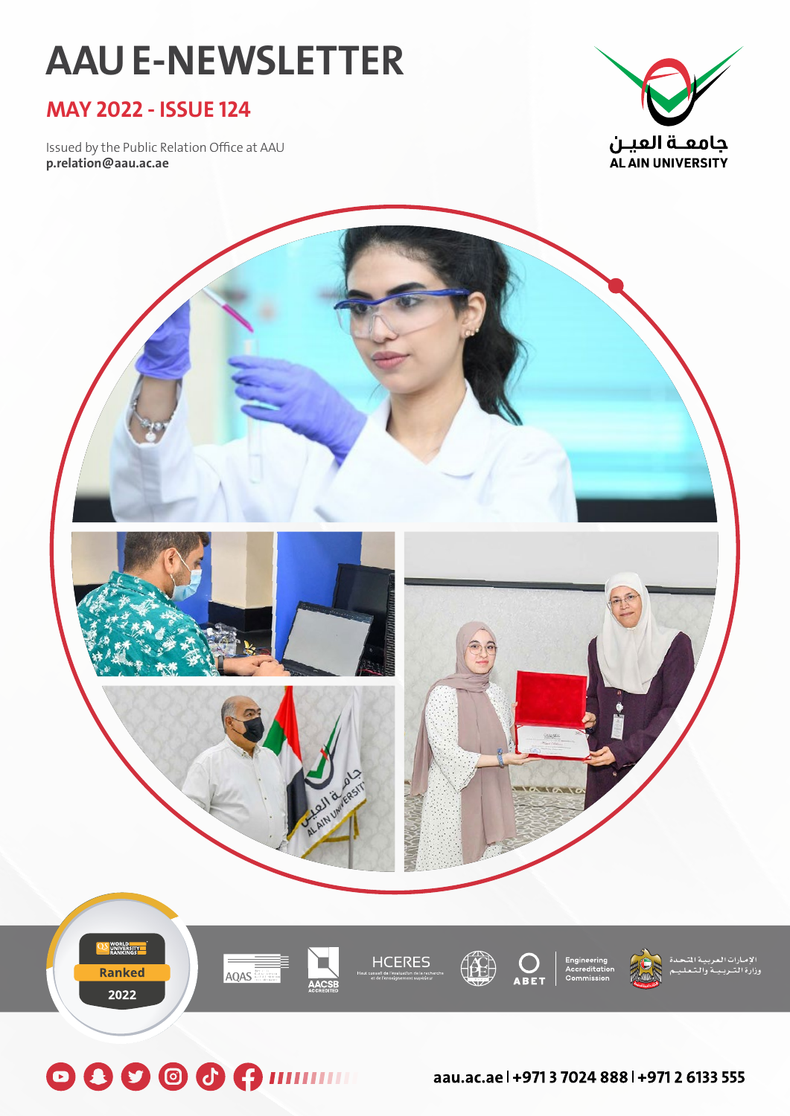# **AAU E-NEWSLETTER**

### **MAY 2022 - ISSUE 124**

Issued by the Public Relation Office at AAU **p.relation@aau.ac.ae**





**O O O O PIIIIIIIII** aau.ac.ael+97137024888l+97126133555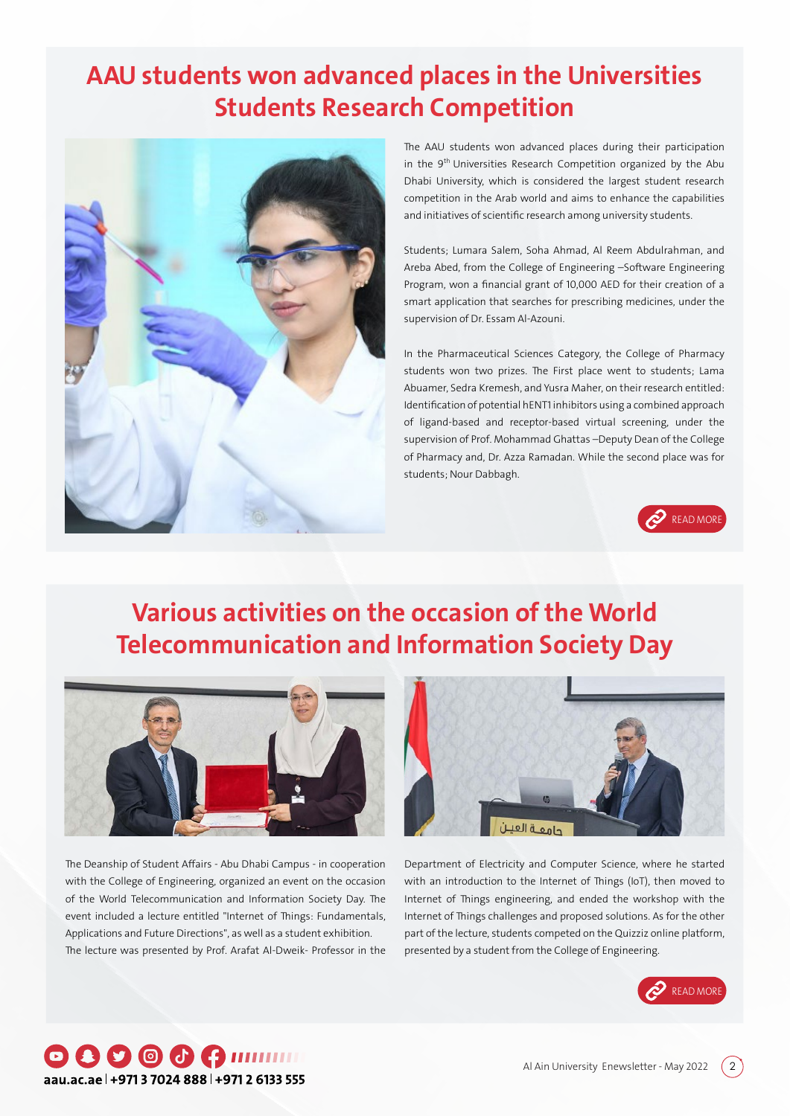### **AAU students won advanced places in the Universities Students Research Competition**



The AAU students won advanced places during their participation in the 9<sup>th</sup> Universities Research Competition organized by the Abu Dhabi University, which is considered the largest student research competition in the Arab world and aims to enhance the capabilities and initiatives of scientific research among university students.

Students; Lumara Salem, Soha Ahmad, Al Reem Abdulrahman, and Areba Abed, from the College of Engineering –Software Engineering Program, won a financial grant of 10,000 AED for their creation of a smart application that searches for prescribing medicines, under the supervision of Dr. Essam Al-Azouni.

In the Pharmaceutical Sciences Category, the College of Pharmacy students won two prizes. The First place went to students; Lama Abuamer, Sedra Kremesh, and Yusra Maher, on their research entitled: Identification of potential hENT1 inhibitors using a combined approach of ligand-based and receptor-based virtual screening, under the supervision of Prof. Mohammad Ghattas –Deputy Dean of the College of Pharmacy and, Dr. Azza Ramadan. While the second place was for students; Nour Dabbagh.



### **Various activities on the occasion of the World Telecommunication and Information Society Day**



The Deanship of Student Affairs - Abu Dhabi Campus - in cooperation with the College of Engineering, organized an event on the occasion of the World Telecommunication and Information Society Day. The event included a lecture entitled "Internet of Things: Fundamentals, Applications and Future Directions", as well as a student exhibition. The lecture was presented by Prof. Arafat Al-Dweik- Professor in the



Department of Electricity and Computer Science, where he started with an introduction to the Internet of Things (IoT), then moved to Internet of Things engineering, and ended the workshop with the Internet of Things challenges and proposed solutions. As for the other part of the lecture, students competed on the Quizziz online platform, presented by a student from the College of Engineering.



#### 000000mmm aau.ac.ae | +971 3 7024 888 | +971 2 6133 555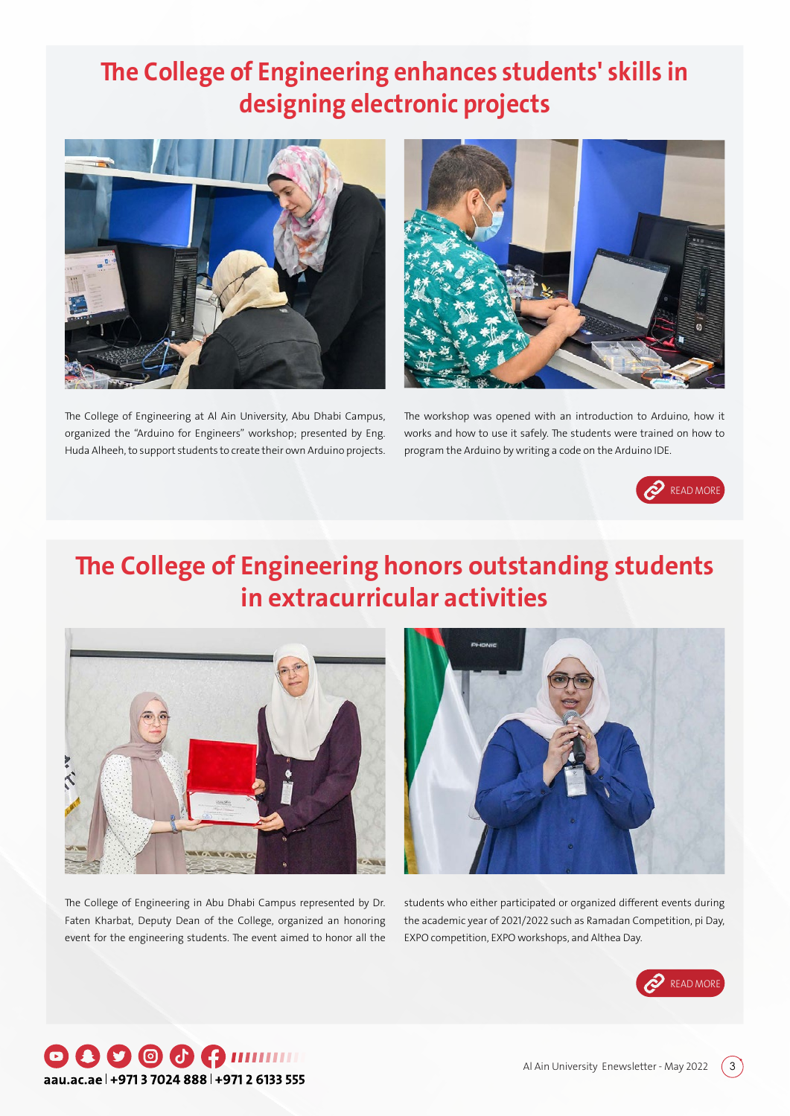## **The College of Engineering enhances students' skills in designing electronic projects**



The College of Engineering at Al Ain University, Abu Dhabi Campus, organized the "Arduino for Engineers" workshop; presented by Eng. Huda Alheeh, to support students to create their own Arduino projects.



The workshop was opened with an introduction to Arduino, how it works and how to use it safely. The students were trained on how to program the Arduino by writing a code on the Arduino IDE.



## **The College of Engineering honors outstanding students in extracurricular activities**



The College of Engineering in Abu Dhabi Campus represented by Dr. Faten Kharbat, Deputy Dean of the College, organized an honoring event for the engineering students. The event aimed to honor all the



students who either participated or organized different events during the academic year of 2021/2022 such as Ramadan Competition, pi Day, EXPO competition, EXPO workshops, and Althea Day.



### **000000mmm** aau.ac.ae | +971 3 7024 888 | +971 2 6133 555